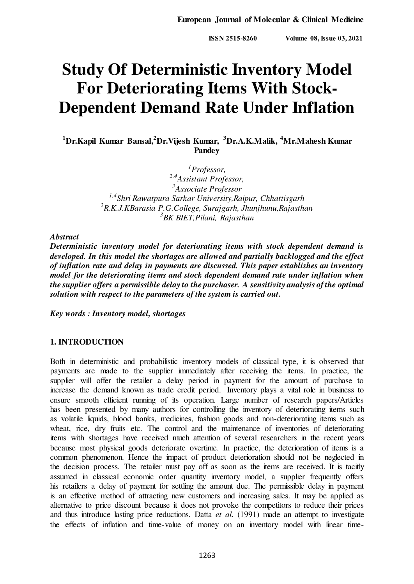**ISSN 2515-8260 Volume 08, Issue 03, 2021** 

# **Study Of Deterministic Inventory Model For Deteriorating Items With Stock-Dependent Demand Rate Under Inflation**

**<sup>1</sup>Dr.Kapil Kumar Bansal,<sup>2</sup>Dr.Vijesh Kumar, <sup>3</sup>Dr.A.K.Malik, <sup>4</sup>Mr.Mahesh Kumar Pandey** 

> *Professor, 2,4Assistant Professor, Associate Professor 1,4Shri Rawatpura Sarkar University,Raipur, Chhattisgarh R.K.J.KBarasia P.G.College, Surajgarh, Jhunjhunu,Rajasthan BK BIET,Pilani, Rajasthan*

*Abstract* 

*Deterministic inventory model for deteriorating items with stock dependent demand is developed. In this model the shortages are allowed and partially backlogged and the effect of inflation rate and delay in payments are discussed. This paper establishes an inventory model for the deteriorating items and stock dependent demand rate under inflation when the supplier offers a permissible delay to the purchaser. A sensitivity analysis of the optimal solution with respect to the parameters of the system is carried out.* 

*Key words : Inventory model, shortages* 

## **1. INTRODUCTION**

Both in deterministic and probabilistic inventory models of classical type, it is observed that payments are made to the supplier immediately after receiving the items. In practice, the supplier will offer the retailer a delay period in payment for the amount of purchase to increase the demand known as trade credit period. Inventory plays a vital role in business to ensure smooth efficient running of its operation. Large number of research papers/Articles has been presented by many authors for controlling the inventory of deteriorating items such as volatile liquids, blood banks, medicines, fashion goods and non-deteriorating items such as wheat, rice, dry fruits etc. The control and the maintenance of inventories of deteriorating items with shortages have received much attention of several researchers in the recent years because most physical goods deteriorate overtime. In practice, the deterioration of items is a common phenomenon. Hence the impact of product deterioration should not be neglected in the decision process. The retailer must pay off as soon as the items are received. It is tacitly assumed in classical economic order quantity inventory model, a supplier frequently offers his retailers a delay of payment for settling the amount due. The permissible delay in payment is an effective method of attracting new customers and increasing sales. It may be applied as alternative to price discount because it does not provoke the competitors to reduce their prices and thus introduce lasting price reductions. Datta *et al.* (1991) made an attempt to investigate the effects of inflation and time-value of money on an inventory model with linear time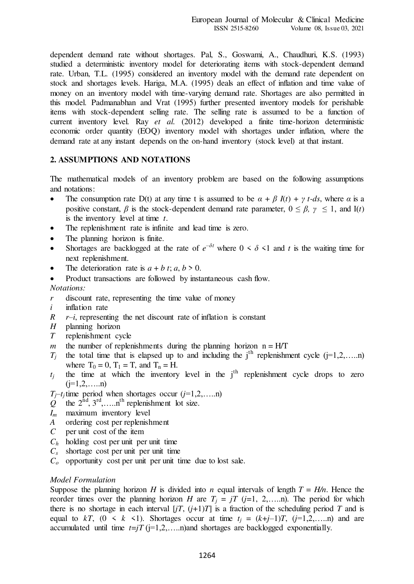dependent demand rate without shortages. Pal, S., Goswami, A., Chaudhuri, K.S. (1993) studied a deterministic inventory model for deteriorating items with stock-dependent demand rate. Urban, T.L. (1995) considered an inventory model with the demand rate dependent on stock and shortages levels. Hariga, M.A. (1995) deals an effect of inflation and time value of money on an inventory model with time-varying demand rate. Shortages are also permitted in this model. Padmanabhan and Vrat (1995) further presented inventory models for perishable items with stock-dependent selling rate. The selling rate is assumed to be a function of current inventory level. Ray *et al.* (2012) developed a finite time-horizon deterministic economic order quantity (EOQ) inventory model with shortages under inflation, where the demand rate at any instant depends on the on-hand inventory (stock level) at that instant.

### **2. ASSUMPTIONS AND NOTATIONS**

The mathematical models of an inventory problem are based on the following assumptions and notations:

- The consumption rate D(t) at any time t is assumed to be  $\alpha + \beta I(t) + \gamma t$ -ds, where  $\alpha$  is a positive constant,  $\beta$  is the stock-dependent demand rate parameter,  $0 \leq \beta$ ,  $\gamma \leq 1$ , and I(*t*) is the inventory level at time *t*.
- The replenishment rate is infinite and lead time is zero.
- The planning horizon is finite.
- Shortages are backlogged at the rate of  $e^{-\delta t}$  where  $0 \le \delta \le 1$  and *t* is the waiting time for next replenishment.
- The deterioration rate is  $a + b$  *t*;  $a, b > 0$ .
- Product transactions are followed by instantaneous cash flow.

*Notations:* 

- *r* discount rate, representing the time value of money
- *i* inflation rate
- $R$  *r*–*i*, representing the net discount rate of inflation is constant
- *H* planning horizon
- *T* replenishment cycle
- *m* the number of replenishments during the planning horizon  $n = H/T$
- $T_j$ the total time that is elapsed up to and including the  $j<sup>th</sup>$  replenishment cycle ( $j=1,2,....n$ ) where  $T_0 = 0$ ,  $T_1 = T$ , and  $T_n = H$ .
- *tj* the time at which the inventory level in the  $j<sup>th</sup>$  replenishment cycle drops to zero  $(j=1,2,...n)$

 $T_j$ —*t<sub>j</sub>* time period when shortages occur (*j*=1,2,…..n)

- $Q^{\dagger}$  the  $2^{\text{nd}}$ ,  $3^{\text{rd}}$ , ... ... n<sup>th</sup> replenishment lot size.
- *Im* maximum inventory level
- *A* ordering cost per replenishment *C* per unit cost of the item
- *C* per unit cost of the item
- $C_h$  holding cost per unit per unit time
- $C_s$  shortage cost per unit per unit time
- $C<sub>o</sub>$  opportunity cost per unit per unit time due to lost sale.

#### *Model Formulation*

Suppose the planning horizon *H* is divided into *n* equal intervals of length  $T = H/n$ . Hence the reorder times over the planning horizon *H* are  $T_i = iT$  ( $j=1, 2, \ldots$ n). The period for which there is no shortage in each interval  $[jT, (j+1)T]$  is a fraction of the scheduling period *T* and is equal to  $kT$ ,  $(0 \le k \le 1)$ . Shortages occur at time  $t_j = (k+j-1)T$ ,  $(j=1,2,...,n)$  and are accumulated until time  $t=jT$  ( $j=1,2,...$ n)and shortages are backlogged exponentially.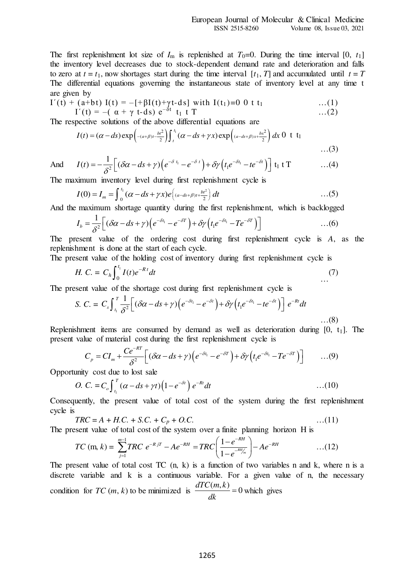The first replenishment lot size of  $I_m$  is replenished at  $T_0=0$ . During the time interval [0,  $t_1$ ] the inventory level decreases due to stock-dependent demand rate and deterioration and falls to zero at  $t = t_1$ , now shortages start during the time interval  $[t_1, T]$  and accumulated until  $t = T$ The differential equations governing the instantaneous state of inventory level at any time t are given by

$$
I'(t) + (a+bt) I(t) = -[ + \beta I(t) + \gamma t - ds] with I(t_1) = 0 \t 0 \t t_1 \t ... (1) \nI'(t) = -(\t \alpha + \gamma \t t - ds) e^{-\delta t} t_1 \t T \t ... (2)
$$

The respective solutions of the above differential equations are

$$
I(t) = (\alpha - ds) \exp \left( - (a + \beta)t - \frac{bt^2}{2} \right) \int_t^{t_1} (\alpha - ds + \gamma x) \exp \left( (a - ds + \beta)x + \frac{bx^2}{2} \right) dx \ 0 \ \ t \ t_1
$$
...(3)

And 
$$
I(t) = -\frac{1}{\delta^2} \Big[ (\delta \alpha - ds + \gamma) \Big( e^{-\delta t_1} - e^{-\delta t} \Big) + \delta \gamma \Big( t_1 e^{-\delta t_1} - t e^{-\delta t} \Big) \Big] t_1 \text{ t } T \qquad \qquad \dots (4)
$$

The maximum inventory level during first replenishment cycle is

$$
I(0) = I_m = \int_0^{t_1} (\alpha - ds + \gamma x) e\left( \frac{a - ds + \beta}{t_2} \right) dt \tag{5}
$$

And the maximum shortage quantity during the first replenishment, which is backlogged

$$
I_b = \frac{1}{\delta^2} \Big[ (\delta \alpha - ds + \gamma) \Big( e^{-\delta t_1} - e^{-\delta T} \Big) + \delta \gamma \Big( t_1 e^{-\delta t_1} - T e^{-\delta T} \Big) \Big] \qquad \qquad \dots (6)
$$

The present value of the ordering cost during first replenishment cycle is *A*, as the replenishment is done at the start of each cycle.

The present value of the holding cost of inventory during first replenishment cycle is

H. C. = 
$$
C_h \int_0^{t_1} I(t)e^{-Rt} dt
$$
 (7)

The present value of the shortage cost during first replenishment cycle is

$$
S. \ C. = C_s \int_{t_1}^{T} \frac{1}{\delta^2} \Big[ (\delta \alpha - ds + \gamma) \Big( e^{-\delta t_1} - e^{-\delta t} \Big) + \delta \gamma \Big( t_1 e^{-\delta t_1} - t e^{-\delta t} \Big) \Big] e^{-Rt} dt
$$

Replenishment items are consumed by demand as well as deterioration during  $[0, t_1]$ . The present value of material cost during the first replenishment cycle is

$$
C_p = CI_m + \frac{Ce^{-RT}}{\delta^2} \Big[ (\delta\alpha - ds + \gamma) \Big( e^{-\delta t_1} - e^{-\delta T} \Big) + \delta\gamma \Big( t_1 e^{-\delta t_1} - T e^{-\delta T} \Big) \Big] \qquad \dots (9)
$$

Opportunity cost due to lost sale

*O.* 
$$
C = C_o \int_{t_1}^{T} (\alpha - ds + \gamma t) (1 - e^{-\delta t}) e^{-Rt} dt
$$
 ...(10)

Consequently, the present value of total cost of the system during the first replenishment cycle is

$$
TRC = A + H.C. + S.C. + C_p + O.C.
$$
...(11)

The present value of total cost of the system over a finite planning horizon H is

$$
TC \text{ (m, } k) = \sum_{j=1}^{m-1} TRC \ e^{-RjT} - Ae^{-RH} = TRC \left( \frac{1 - e^{-RH}}{1 - e^{-RH/m}} \right) - Ae^{-RH} \qquad \qquad \dots (12)
$$

The present value of total cost TC  $(n, k)$  is a function of two variables n and k, where n is a discrete variable and k is a continuous variable. For a given value of n, the necessary condition for *TC* (*m*, *k*) to be minimized is  $\frac{dTC(m,k)}{dx} = 0$ *dk*  $= 0$  which gives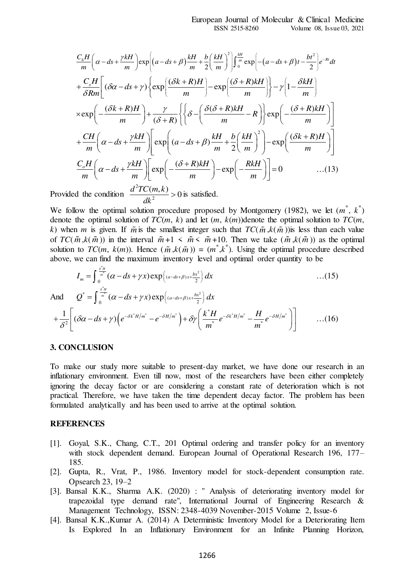$$
\frac{C_h H}{m} \left( \alpha - ds + \frac{\gamma k H}{m} \right) \exp \left[ (a - ds + \beta) \frac{k H}{m} + \frac{b}{2} \left( \frac{k H}{m} \right)^2 \right] \int_0^{\frac{k H}{m}} \exp \left[ -(a - ds + \beta) t - \frac{bt^2}{2} \right] e^{-Rt} dt
$$
  
+
$$
\frac{C_s H}{\delta R m} \left[ (\delta \alpha - ds + \gamma) \left\{ \exp \left( \frac{(\delta k + R) H}{m} \right) - \exp \left( \frac{(\delta + R) k H}{m} \right) \right\} - \gamma \left( 1 - \frac{\delta k H}{m} \right) \right\}
$$

$$
\times \exp \left( - \frac{(\delta k + R) H}{m} \right) + \frac{\gamma}{(\delta + R)} \left\{ \left\{ \delta - \left( \frac{\delta (\delta + R) k H}{m} - R \right) \right\} \exp \left( - \frac{(\delta + R) k H}{m} \right) \right\}
$$

$$
+ \frac{CH}{m} \left( \alpha - ds + \frac{\gamma k H}{m} \right) \left[ \exp \left( (a - ds + \beta) \frac{k H}{m} + \frac{b}{2} \left( \frac{k H}{m} \right)^2 \right) - \exp \left( \frac{(\delta k + R) H}{m} \right) \right]
$$

$$
\frac{C_s H}{m} \left( \alpha - ds + \frac{\gamma k H}{m} \right) \left[ \exp \left( - \frac{(\delta + R) k H}{m} \right) - \exp \left( - \frac{R k H}{m} \right) \right] = 0 \qquad \qquad ...(13)
$$

Provided the condition  $\frac{d^2TC(m,k)}{dt^2}>0$ *dk*  $> 0$  is satisfied.

We follow the optimal solution procedure proposed by Montgomery (1982), we let  $(m^*, k^*)$ denote the optimal solution of  $TC(m, k)$  and let  $(m, k(m))$ denote the optimal solution to  $TC(m, k)$ *k*) when *m* is given. If  $\tilde{m}$  is the smallest integer such that  $TC(\tilde{m}, k(\tilde{m}))$  is less than each value of  $TC(\tilde{m}, k(\tilde{m}))$  in the interval  $\tilde{m}+1 \leq \tilde{m} \leq \tilde{m}+10$ . Then we take  $(\tilde{m}, k(\tilde{m}))$  as the optimal solution to  $TC(m, k(m))$ . Hence  $(\tilde{m}, k(\tilde{m})) = (m^*, k^*)$ . Using the optimal procedure described above, we can find the maximum inventory level and optimal order quantity to be

$$
I_m = \int_0^{\frac{k^*H}{m^*}} (\alpha - ds + \gamma x) \exp\left((a - ds + \beta)x + \frac{bx^2}{2}\right) dx
$$
...(15)  

$$
Q^* = \int_0^{\frac{k^*H}{m^*}} (\alpha - ds + \gamma x) \exp\left((a - ds + \beta)x + \frac{bx^2}{2}\right) dx
$$

And

$$
+\frac{1}{\delta^2}\left[\left(\delta\alpha-ds+\gamma\right)\left(e^{-\delta k^*H/m^*}-e^{-\delta H/m^*}\right)+\delta\gamma\left(\frac{k^*H}{m^*}e^{-\delta k^*H/m^*}-\frac{H}{m^*}e^{-\delta H/m^*}\right)\right]\qquad \qquad ...(16)
$$

#### **3. CONCLUSION**

To make our study more suitable to present-day market, we have done our research in an inflationary environment. Even till now, most of the researchers have been either completely ignoring the decay factor or are considering a constant rate of deterioration which is not practical. Therefore, we have taken the time dependent decay factor. The problem has been formulated analytically and has been used to arrive at the optimal solution.

#### **REFERENCES**

- [1]. Goyal, S.K., Chang, C.T., 201 Optimal ordering and transfer policy for an inventory with stock dependent demand. European Journal of Operational Research 196, 177– 185.
- [2]. Gupta, R., Vrat, P., 1986. Inventory model for stock-dependent consumption rate. Opsearch 23, 19–2
- [3]. Bansal K.K., Sharma A.K. (2020) : " Analysis of deteriorating inventory model for trapezoidal type demand rate", International Journal of Engineering Research & Management Technology, ISSN: 2348-4039 November-2015 Volume 2, Issue-6
- [4]. Bansal K.K.,Kumar A. (2014) A Deterministic Inventory Model for a Deteriorating Item Is Explored In an Inflationary Environment for an Infinite Planning Horizon,